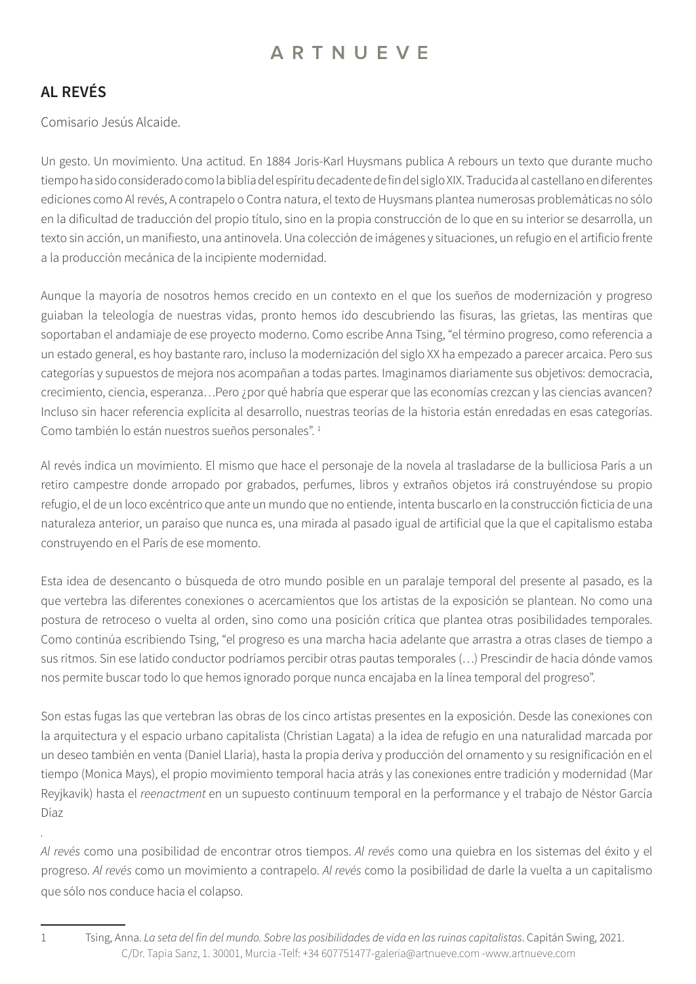## **AL REVÉS**

Comisario Jesús Alcaide.

Un gesto. Un movimiento. Una actitud. En 1884 Joris-Karl Huysmans publica A rebours un texto que durante mucho tiempo ha sido considerado como la biblia del espíritu decadente de fin del siglo XIX. Traducida al castellano en diferentes ediciones como Al revés, A contrapelo o Contra natura, el texto de Huysmans plantea numerosas problemáticas no sólo en la dificultad de traducción del propio título, sino en la propia construcción de lo que en su interior se desarrolla, un texto sin acción, un manifiesto, una antinovela. Una colección de imágenes y situaciones, un refugio en el artificio frente a la producción mecánica de la incipiente modernidad.

Aunque la mayoría de nosotros hemos crecido en un contexto en el que los sueños de modernización y progreso guiaban la teleología de nuestras vidas, pronto hemos ido descubriendo las fisuras, las grietas, las mentiras que soportaban el andamiaje de ese proyecto moderno. Como escribe Anna Tsing, "el término progreso, como referencia a un estado general, es hoy bastante raro, incluso la modernización del siglo XX ha empezado a parecer arcaica. Pero sus categorías y supuestos de mejora nos acompañan a todas partes. Imaginamos diariamente sus objetivos: democracia, crecimiento, ciencia, esperanza…Pero ¿por qué habría que esperar que las economías crezcan y las ciencias avancen? Incluso sin hacer referencia explícita al desarrollo, nuestras teorías de la historia están enredadas en esas categorías. Como también lo están nuestros sueños personales".<sup>1</sup>

Al revés indica un movimiento. El mismo que hace el personaje de la novela al trasladarse de la bulliciosa París a un retiro campestre donde arropado por grabados, perfumes, libros y extraños objetos irá construyéndose su propio refugio, el de un loco excéntrico que ante un mundo que no entiende, intenta buscarlo en la construcción ficticia de una naturaleza anterior, un paraíso que nunca es, una mirada al pasado igual de artificial que la que el capitalismo estaba construyendo en el París de ese momento.

Esta idea de desencanto o búsqueda de otro mundo posible en un paralaje temporal del presente al pasado, es la que vertebra las diferentes conexiones o acercamientos que los artistas de la exposición se plantean. No como una postura de retroceso o vuelta al orden, sino como una posición crítica que plantea otras posibilidades temporales. Como continúa escribiendo Tsing, "el progreso es una marcha hacia adelante que arrastra a otras clases de tiempo a sus ritmos. Sin ese latido conductor podríamos percibir otras pautas temporales (…) Prescindir de hacia dónde vamos nos permite buscar todo lo que hemos ignorado porque nunca encajaba en la línea temporal del progreso".

Son estas fugas las que vertebran las obras de los cinco artistas presentes en la exposición. Desde las conexiones con la arquitectura y el espacio urbano capitalista (Christian Lagata) a la idea de refugio en una naturalidad marcada por un deseo también en venta (Daniel Llaría), hasta la propia deriva y producción del ornamento y su resignificación en el tiempo (Monica Mays), el propio movimiento temporal hacia atrás y las conexiones entre tradición y modernidad (Mar Reyjkavik) hasta el *reenactment* en un supuesto continuum temporal en la performance y el trabajo de Néstor García Díaz

*Al revés* como una posibilidad de encontrar otros tiempos. *Al revés* como una quiebra en los sistemas del éxito y el progreso. *Al revés* como un movimiento a contrapelo. *Al revés* como la posibilidad de darle la vuelta a un capitalismo que sólo nos conduce hacia el colapso.

*.* 

C/Dr. Tapia Sanz, 1. 30001, Murcia -Telf: +34 607751477-galeria@artnueve.com -www.artnueve.com 1 Tsing, Anna. *La seta del fin del mundo. Sobre las posibilidades de vida en las ruinas capitalistas*. Capitán Swing, 2021.